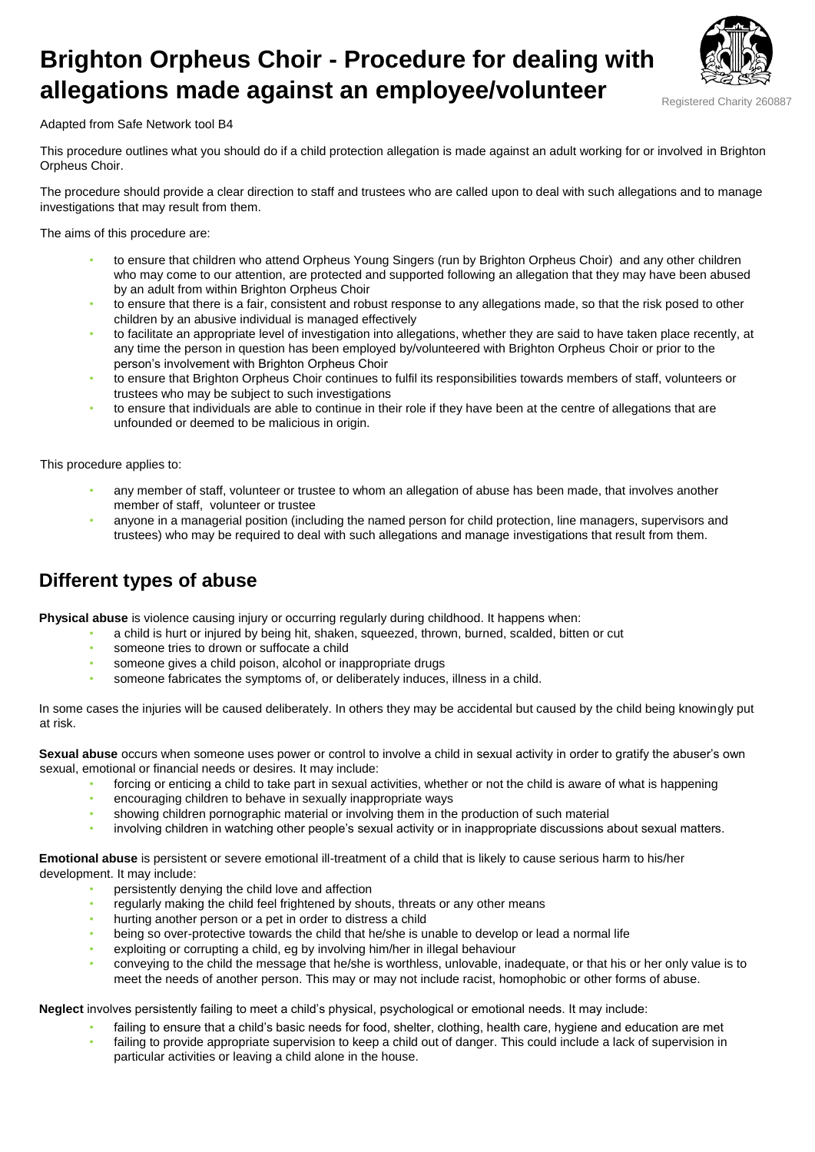# **Brighton Orpheus Choir - Procedure for dealing with allegations made against an employee/volunteer**



Adapted from Safe Network tool B4

This procedure outlines what you should do if a child protection allegation is made against an adult working for or involved in Brighton Orpheus Choir.

The procedure should provide a clear direction to staff and trustees who are called upon to deal with such allegations and to manage investigations that may result from them.

The aims of this procedure are:

- to ensure that children who attend Orpheus Young Singers (run by Brighton Orpheus Choir) and any other children who may come to our attention, are protected and supported following an allegation that they may have been abused by an adult from within Brighton Orpheus Choir
- to ensure that there is a fair, consistent and robust response to any allegations made, so that the risk posed to other children by an abusive individual is managed effectively
- to facilitate an appropriate level of investigation into allegations, whether they are said to have taken place recently, at any time the person in question has been employed by/volunteered with Brighton Orpheus Choir or prior to the person's involvement with Brighton Orpheus Choir
- to ensure that Brighton Orpheus Choir continues to fulfil its responsibilities towards members of staff, volunteers or trustees who may be subject to such investigations
- to ensure that individuals are able to continue in their role if they have been at the centre of allegations that are unfounded or deemed to be malicious in origin.

This procedure applies to:

- any member of staff, volunteer or trustee to whom an allegation of abuse has been made, that involves another member of staff, volunteer or trustee
- anyone in a managerial position (including the named person for child protection, line managers, supervisors and trustees) who may be required to deal with such allegations and manage investigations that result from them.

# **Different types of abuse**

**Physical abuse** is violence causing injury or occurring regularly during childhood. It happens when:

- a child is hurt or injured by being hit, shaken, squeezed, thrown, burned, scalded, bitten or cut
- someone tries to drown or suffocate a child
- someone gives a child poison, alcohol or inappropriate drugs
- someone fabricates the symptoms of, or deliberately induces, illness in a child.

In some cases the injuries will be caused deliberately. In others they may be accidental but caused by the child being knowingly put at risk.

**Sexual abuse** occurs when someone uses power or control to involve a child in sexual activity in order to gratify the abuser's own sexual, emotional or financial needs or desires. It may include:

- forcing or enticing a child to take part in sexual activities, whether or not the child is aware of what is happening
- encouraging children to behave in sexually inappropriate ways
- showing children pornographic material or involving them in the production of such material
- involving children in watching other people's sexual activity or in inappropriate discussions about sexual matters.

**Emotional abuse** is persistent or severe emotional ill-treatment of a child that is likely to cause serious harm to his/her development. It may include:

- persistently denying the child love and affection
- regularly making the child feel frightened by shouts, threats or any other means
- hurting another person or a pet in order to distress a child
- being so over-protective towards the child that he/she is unable to develop or lead a normal life
- exploiting or corrupting a child, eg by involving him/her in illegal behaviour
- conveying to the child the message that he/she is worthless, unlovable, inadequate, or that his or her only value is to meet the needs of another person. This may or may not include racist, homophobic or other forms of abuse.

**Neglect** involves persistently failing to meet a child's physical, psychological or emotional needs. It may include:

- failing to ensure that a child's basic needs for food, shelter, clothing, health care, hygiene and education are met • failing to provide appropriate supervision to keep a child out of danger. This could include a lack of supervision in
- particular activities or leaving a child alone in the house.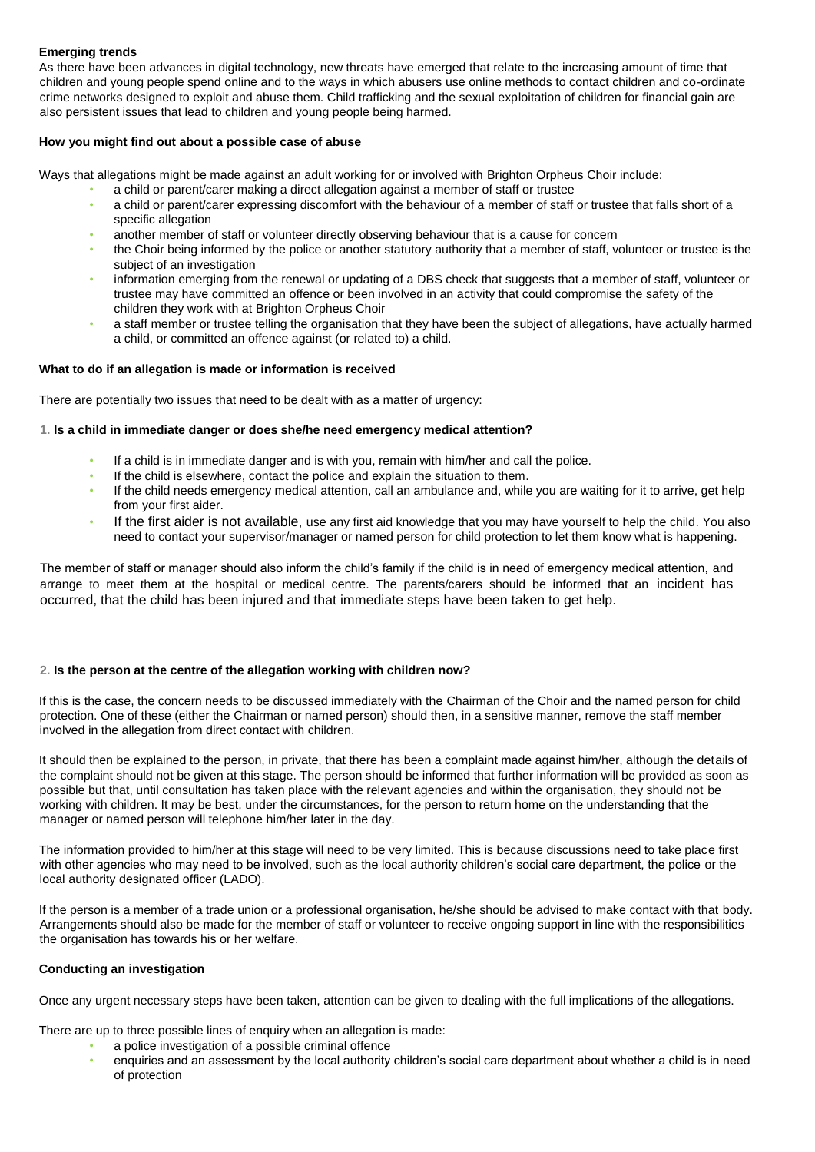#### **Emerging trends**

As there have been advances in digital technology, new threats have emerged that relate to the increasing amount of time that children and young people spend online and to the ways in which abusers use online methods to contact children and co-ordinate crime networks designed to exploit and abuse them. Child trafficking and the sexual exploitation of children for financial gain are also persistent issues that lead to children and young people being harmed.

#### **How you might find out about a possible case of abuse**

Ways that allegations might be made against an adult working for or involved with Brighton Orpheus Choir include:

- a child or parent/carer making a direct allegation against a member of staff or trustee
- a child or parent/carer expressing discomfort with the behaviour of a member of staff or trustee that falls short of a specific allegation
- another member of staff or volunteer directly observing behaviour that is a cause for concern
- the Choir being informed by the police or another statutory authority that a member of staff, volunteer or trustee is the subject of an investigation
- information emerging from the renewal or updating of a DBS check that suggests that a member of staff, volunteer or trustee may have committed an offence or been involved in an activity that could compromise the safety of the children they work with at Brighton Orpheus Choir
- a staff member or trustee telling the organisation that they have been the subject of allegations, have actually harmed a child, or committed an offence against (or related to) a child.

#### **What to do if an allegation is made or information is received**

There are potentially two issues that need to be dealt with as a matter of urgency:

#### **1. Is a child in immediate danger or does she/he need emergency medical attention?**

- If a child is in immediate danger and is with you, remain with him/her and call the police.
- If the child is elsewhere, contact the police and explain the situation to them.
- If the child needs emergency medical attention, call an ambulance and, while you are waiting for it to arrive, get help from your first aider.
- If the first aider is not available, use any first aid knowledge that you may have yourself to help the child. You also need to contact your supervisor/manager or named person for child protection to let them know what is happening.

The member of staff or manager should also inform the child's family if the child is in need of emergency medical attention, and arrange to meet them at the hospital or medical centre. The parents/carers should be informed that an incident has occurred, that the child has been injured and that immediate steps have been taken to get help.

#### **2. Is the person at the centre of the allegation working with children now?**

If this is the case, the concern needs to be discussed immediately with the Chairman of the Choir and the named person for child protection. One of these (either the Chairman or named person) should then, in a sensitive manner, remove the staff member involved in the allegation from direct contact with children.

It should then be explained to the person, in private, that there has been a complaint made against him/her, although the details of the complaint should not be given at this stage. The person should be informed that further information will be provided as soon as possible but that, until consultation has taken place with the relevant agencies and within the organisation, they should not be working with children. It may be best, under the circumstances, for the person to return home on the understanding that the manager or named person will telephone him/her later in the day.

The information provided to him/her at this stage will need to be very limited. This is because discussions need to take place first with other agencies who may need to be involved, such as the local authority children's social care department, the police or the local authority designated officer (LADO).

If the person is a member of a trade union or a professional organisation, he/she should be advised to make contact with that body. Arrangements should also be made for the member of staff or volunteer to receive ongoing support in line with the responsibilities the organisation has towards his or her welfare.

#### **Conducting an investigation**

Once any urgent necessary steps have been taken, attention can be given to dealing with the full implications of the allegations.

There are up to three possible lines of enquiry when an allegation is made:

- a police investigation of a possible criminal offence
- enquiries and an assessment by the local authority children's social care department about whether a child is in need of protection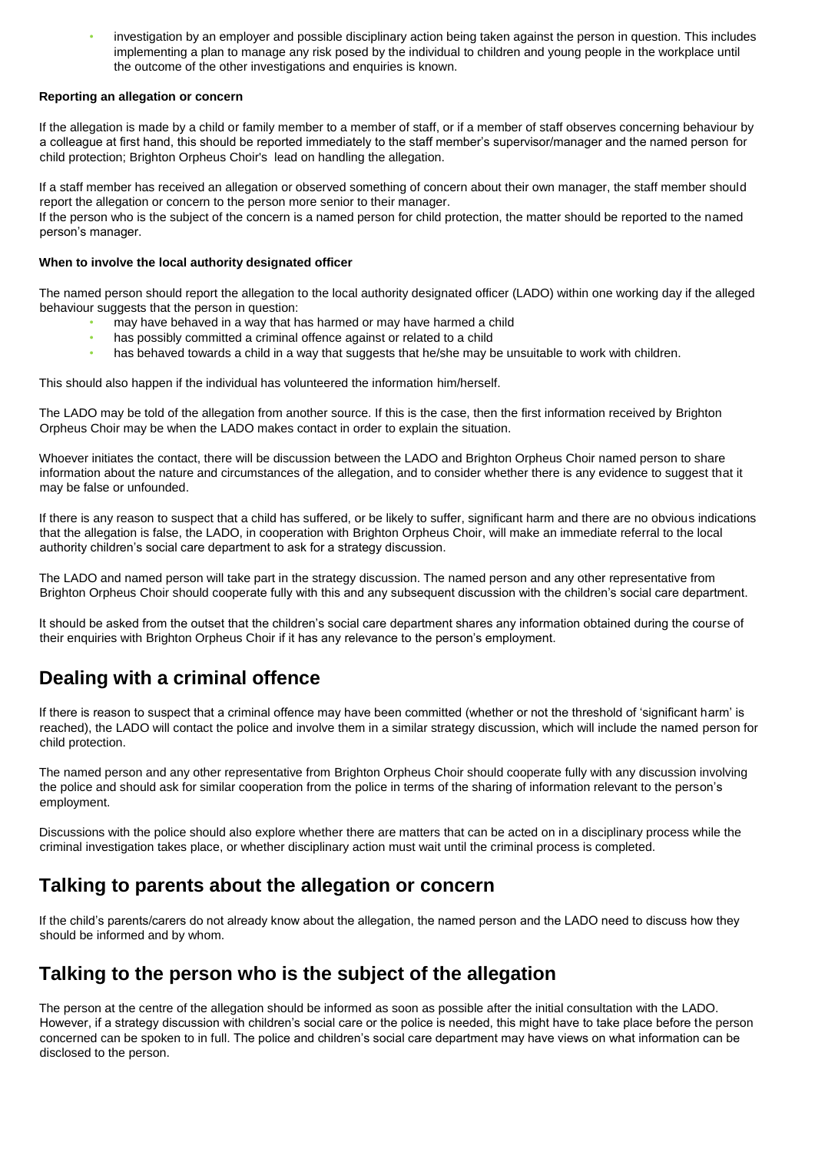• investigation by an employer and possible disciplinary action being taken against the person in question. This includes implementing a plan to manage any risk posed by the individual to children and young people in the workplace until the outcome of the other investigations and enquiries is known.

#### **Reporting an allegation or concern**

If the allegation is made by a child or family member to a member of staff, or if a member of staff observes concerning behaviour by a colleague at first hand, this should be reported immediately to the staff member's supervisor/manager and the named person for child protection; Brighton Orpheus Choir's lead on handling the allegation.

If a staff member has received an allegation or observed something of concern about their own manager, the staff member should report the allegation or concern to the person more senior to their manager.

If the person who is the subject of the concern is a named person for child protection, the matter should be reported to the named person's manager.

#### **When to involve the local authority designated officer**

The named person should report the allegation to the local authority designated officer (LADO) within one working day if the alleged behaviour suggests that the person in question:

- may have behaved in a way that has harmed or may have harmed a child
- has possibly committed a criminal offence against or related to a child
- has behaved towards a child in a way that suggests that he/she may be unsuitable to work with children.

This should also happen if the individual has volunteered the information him/herself.

The LADO may be told of the allegation from another source. If this is the case, then the first information received by Brighton Orpheus Choir may be when the LADO makes contact in order to explain the situation.

Whoever initiates the contact, there will be discussion between the LADO and Brighton Orpheus Choir named person to share information about the nature and circumstances of the allegation, and to consider whether there is any evidence to suggest that it may be false or unfounded.

If there is any reason to suspect that a child has suffered, or be likely to suffer, significant harm and there are no obvious indications that the allegation is false, the LADO, in cooperation with Brighton Orpheus Choir, will make an immediate referral to the local authority children's social care department to ask for a strategy discussion.

The LADO and named person will take part in the strategy discussion. The named person and any other representative from Brighton Orpheus Choir should cooperate fully with this and any subsequent discussion with the children's social care department.

It should be asked from the outset that the children's social care department shares any information obtained during the course of their enquiries with Brighton Orpheus Choir if it has any relevance to the person's employment.

# **Dealing with a criminal offence**

If there is reason to suspect that a criminal offence may have been committed (whether or not the threshold of 'significant harm' is reached), the LADO will contact the police and involve them in a similar strategy discussion, which will include the named person for child protection.

The named person and any other representative from Brighton Orpheus Choir should cooperate fully with any discussion involving the police and should ask for similar cooperation from the police in terms of the sharing of information relevant to the person's employment.

Discussions with the police should also explore whether there are matters that can be acted on in a disciplinary process while the criminal investigation takes place, or whether disciplinary action must wait until the criminal process is completed.

# **Talking to parents about the allegation or concern**

If the child's parents/carers do not already know about the allegation, the named person and the LADO need to discuss how they should be informed and by whom.

### **Talking to the person who is the subject of the allegation**

The person at the centre of the allegation should be informed as soon as possible after the initial consultation with the LADO. However, if a strategy discussion with children's social care or the police is needed, this might have to take place before the person concerned can be spoken to in full. The police and children's social care department may have views on what information can be disclosed to the person.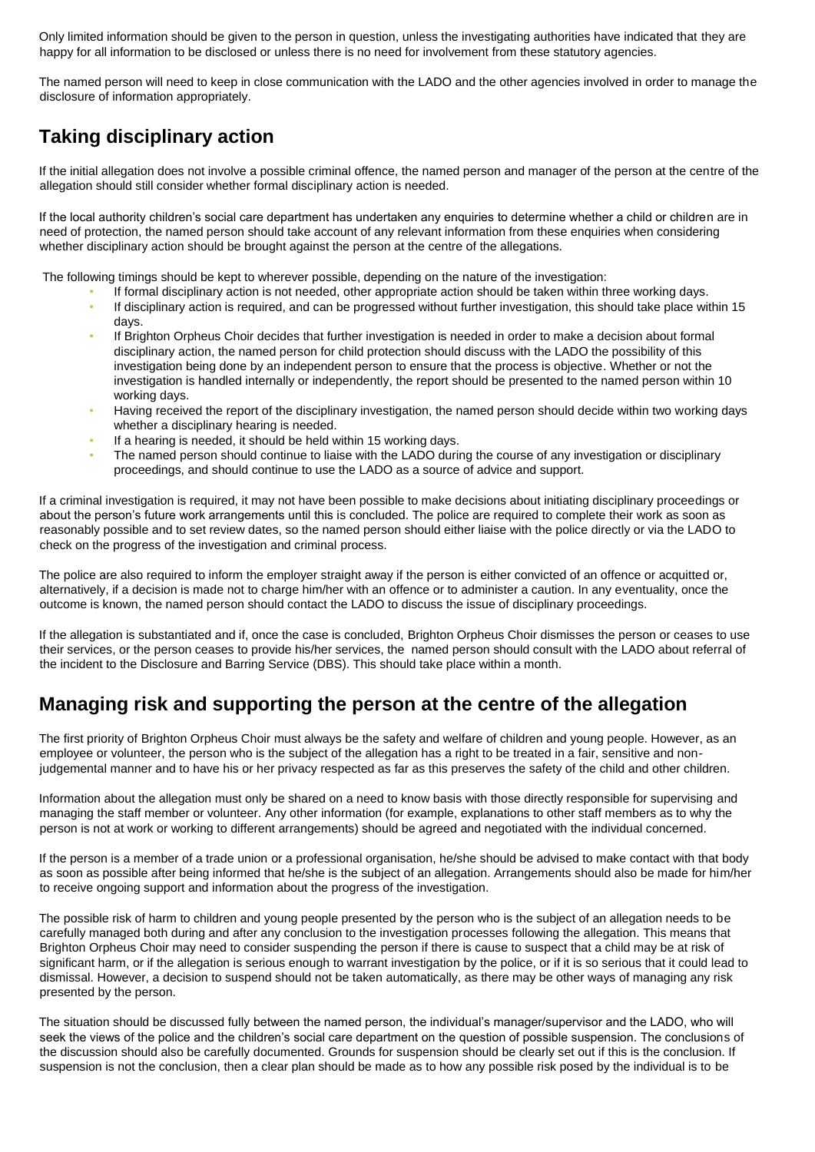Only limited information should be given to the person in question, unless the investigating authorities have indicated that they are happy for all information to be disclosed or unless there is no need for involvement from these statutory agencies.

The named person will need to keep in close communication with the LADO and the other agencies involved in order to manage the disclosure of information appropriately.

# **Taking disciplinary action**

If the initial allegation does not involve a possible criminal offence, the named person and manager of the person at the centre of the allegation should still consider whether formal disciplinary action is needed.

If the local authority children's social care department has undertaken any enquiries to determine whether a child or children are in need of protection, the named person should take account of any relevant information from these enquiries when considering whether disciplinary action should be brought against the person at the centre of the allegations.

The following timings should be kept to wherever possible, depending on the nature of the investigation:

- If formal disciplinary action is not needed, other appropriate action should be taken within three working days. • If disciplinary action is required, and can be progressed without further investigation, this should take place within 15
- days. If Brighton Orpheus Choir decides that further investigation is needed in order to make a decision about formal disciplinary action, the named person for child protection should discuss with the LADO the possibility of this investigation being done by an independent person to ensure that the process is objective. Whether or not the investigation is handled internally or independently, the report should be presented to the named person within 10 working days.
- Having received the report of the disciplinary investigation, the named person should decide within two working days whether a disciplinary hearing is needed.
- If a hearing is needed, it should be held within 15 working days.
- The named person should continue to liaise with the LADO during the course of any investigation or disciplinary proceedings, and should continue to use the LADO as a source of advice and support.

If a criminal investigation is required, it may not have been possible to make decisions about initiating disciplinary proceedings or about the person's future work arrangements until this is concluded. The police are required to complete their work as soon as reasonably possible and to set review dates, so the named person should either liaise with the police directly or via the LADO to check on the progress of the investigation and criminal process.

The police are also required to inform the employer straight away if the person is either convicted of an offence or acquitted or, alternatively, if a decision is made not to charge him/her with an offence or to administer a caution. In any eventuality, once the outcome is known, the named person should contact the LADO to discuss the issue of disciplinary proceedings.

If the allegation is substantiated and if, once the case is concluded, Brighton Orpheus Choir dismisses the person or ceases to use their services, or the person ceases to provide his/her services, the named person should consult with the LADO about referral of the incident to the Disclosure and Barring Service (DBS). This should take place within a month.

# **Managing risk and supporting the person at the centre of the allegation**

The first priority of Brighton Orpheus Choir must always be the safety and welfare of children and young people. However, as an employee or volunteer, the person who is the subject of the allegation has a right to be treated in a fair, sensitive and nonjudgemental manner and to have his or her privacy respected as far as this preserves the safety of the child and other children.

Information about the allegation must only be shared on a need to know basis with those directly responsible for supervising and managing the staff member or volunteer. Any other information (for example, explanations to other staff members as to why the person is not at work or working to different arrangements) should be agreed and negotiated with the individual concerned.

If the person is a member of a trade union or a professional organisation, he/she should be advised to make contact with that body as soon as possible after being informed that he/she is the subject of an allegation. Arrangements should also be made for him/her to receive ongoing support and information about the progress of the investigation.

The possible risk of harm to children and young people presented by the person who is the subject of an allegation needs to be carefully managed both during and after any conclusion to the investigation processes following the allegation. This means that Brighton Orpheus Choir may need to consider suspending the person if there is cause to suspect that a child may be at risk of significant harm, or if the allegation is serious enough to warrant investigation by the police, or if it is so serious that it could lead to dismissal. However, a decision to suspend should not be taken automatically, as there may be other ways of managing any risk presented by the person.

The situation should be discussed fully between the named person, the individual's manager/supervisor and the LADO, who will seek the views of the police and the children's social care department on the question of possible suspension. The conclusions of the discussion should also be carefully documented. Grounds for suspension should be clearly set out if this is the conclusion. If suspension is not the conclusion, then a clear plan should be made as to how any possible risk posed by the individual is to be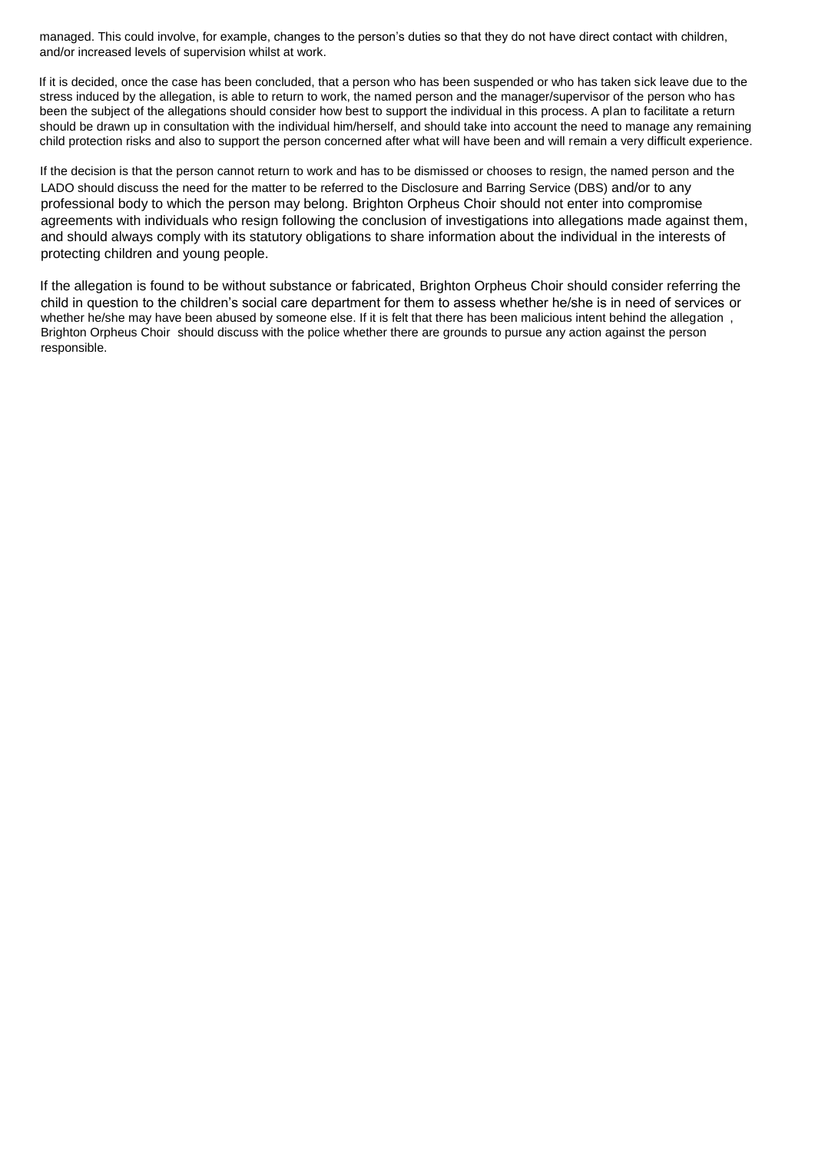managed. This could involve, for example, changes to the person's duties so that they do not have direct contact with children, and/or increased levels of supervision whilst at work.

If it is decided, once the case has been concluded, that a person who has been suspended or who has taken sick leave due to the stress induced by the allegation, is able to return to work, the named person and the manager/supervisor of the person who has been the subject of the allegations should consider how best to support the individual in this process. A plan to facilitate a return should be drawn up in consultation with the individual him/herself, and should take into account the need to manage any remaining child protection risks and also to support the person concerned after what will have been and will remain a very difficult experience.

If the decision is that the person cannot return to work and has to be dismissed or chooses to resign, the named person and the LADO should discuss the need for the matter to be referred to the Disclosure and Barring Service (DBS) and/or to any professional body to which the person may belong. Brighton Orpheus Choir should not enter into compromise agreements with individuals who resign following the conclusion of investigations into allegations made against them, and should always comply with its statutory obligations to share information about the individual in the interests of protecting children and young people.

If the allegation is found to be without substance or fabricated, Brighton Orpheus Choir should consider referring the child in question to the children's social care department for them to assess whether he/she is in need of services or whether he/she may have been abused by someone else. If it is felt that there has been malicious intent behind the allegation , Brighton Orpheus Choir should discuss with the police whether there are grounds to pursue any action against the person responsible.